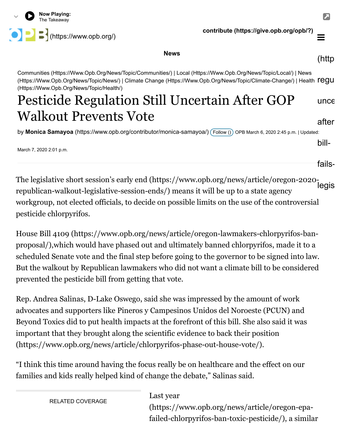

**contribute [\(https://give.opb.org/opb/?\)](https://give.opb.org/opb/?)**

**News**

[Communities \(Https://Www.Opb.Org/News/Topic/Communities/\)](https://www.opb.org/news/topic/communities/) [| L](https://www.opb.org/news/topic/news/)[ocal \(Https://Www.Opb.Org/News/Topic/Local/](https://www.opb.org/news/topic/local/)[\) | News](https://www.opb.org/news/topic/news/) [\(Https://Www.Opb.Org/News/Topic/News/\) | C](https://www.opb.org/news/topic/health/)[limate Change \(Https://Www.Opb.Org/News/Topic/Climate-Change/](https://www.opb.org/news/topic/climate-change/)[\) | Health](https://www.opb.org/news/topic/health/) regu (Https://Www.Opb.Org/News/Topic/Health/)

## Pesticide Regulation Still Uncertain After GOP Walkout Prevents Vote unce after

by **Monica Samayoa** [\(https://www.opb.org/contributor/monica-samayoa/\)](https://www.opb.org/contributor/monica-samayoa/) ( [Follow](https://www.opb.org/news/article/pesticides-regulation-uncertain-after-bill-fails-legislature/) ()) OPB March 6, 2020 2:45 p.m. | Updated:

March 7, 2020 2:01 p.m.

fails-

bill-

[The legislative short session's early end \(https://www.opb.org/news/article/oregon-2020](https://www.opb.org/news/article/oregon-2020-republican-walkout-legislative-session-ends/) republican-walkout-legislative-session-ends/) means it will be up to a state agency workgroup, not elected officials, to decide on possible limits on the use of the controversial pesticide chlorpyrifos. legis

[House Bill 4109 \(https://www.opb.org/news/article/oregon-lawmakers-chlorpyrifos-ban](https://www.opb.org/news/article/oregon-lawmakers-chlorpyrifos-ban-proposal/)proposal/),which would have phased out and ultimately banned chlorpyrifos, made it to a scheduled Senate vote and the final step before going to the governor to be signed into law. But the walkout by Republican lawmakers who did not want a climate bill to be considered prevented the pesticide bill from getting that vote.

Rep. Andrea Salinas, D-Lake Oswego, said she was impressed by the amount of work advocates and supporters like Pineros y Campesinos Unidos del Noroeste (PCUN) and [Beyond Toxics did to put health impacts at the forefront of this bill. She also said it was](https://www.opb.org/news/article/chlorpyrifos-phase-out-house-vote/) important that they brought along the scientific evidence to back their position (https://www.opb.org/news/article/chlorpyrifos-phase-out-house-vote/).

"I think this time around having the focus really be on healthcare and the effect on our families and kids really helped kind of change the debate," Salinas said.

RELATED COVERAGE

Last year

[\(https://www.opb.org/news/article/oregon-epa](https://www.opb.org/news/article/oregon-epa-failed-chlorpyrifos-ban-toxic-pesticide/)failed-chlorpyrifos-ban-toxic-pesticide/), a similar

 $\equiv$ 

(http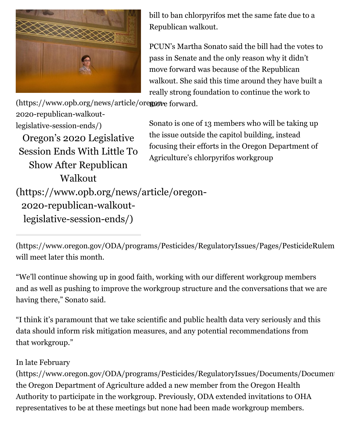

bill to ban chlorpyrifos met the same fate due to a Republican walkout.

PCUN's Martha Sonato said the bill had the votes to pass in Senate and the only reason why it didn't move forward was because of the Republican walkout. She said this time around they have built a really strong foundation to continue the work to

(https://www.opb.org/news/article/oregone forward.

2020-republican-walkoutlegislative-session-ends/) Oregon's 2020 Legislative Session Ends With Little To Show After Republican Walkout [\(https://www.opb.org/news/article/oregon-](https://www.opb.org/news/article/oregon-2020-republican-walkout-legislative-session-ends/)2020-republican-walkoutlegislative-session-ends/)

Sonato is one of 13 members who will be taking up the issue outside the capitol building, instead focusing their efforts in the Oregon Department of Agriculture's chlorpyrifos workgroup

[\(https://www.oregon.gov/ODA/programs/Pesticides/RegulatoryIssues/Pages/PesticideRulem](https://www.oregon.gov/ODA/programs/Pesticides/RegulatoryIssues/Pages/PesticideRulemaking.aspx) will meet later this month.

"We'll continue showing up in good faith, working with our different workgroup members and as well as pushing to improve the workgroup structure and the conversations that we are having there," Sonato said.

"I think it's paramount that we take scientific and public health data very seriously and this data should inform risk mitigation measures, and any potential recommendations from that workgroup."

## In late February

[\(https://www.oregon.gov/ODA/programs/Pesticides/RegulatoryIssues/Documents/Document](https://www.oregon.gov/ODA/programs/Pesticides/RegulatoryIssues/Documents/Documents/ChlorpyrifosWorkgroup/MemberList.pdf) the Oregon Department of Agriculture added a new member from the Oregon Health Authority to participate in the workgroup. Previously, ODA extended invitations to OHA representatives to be at these meetings but none had been made workgroup members.